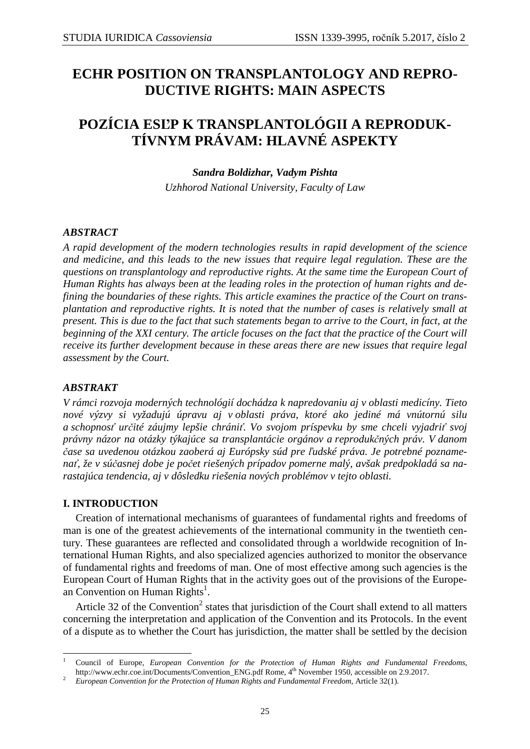# **ECHR POSITION ON TRANSPLANTOLOGY AND REPRO-DUCTIVE RIGHTS: MAIN ASPECTS**

# **POZÍCIA ESĽP K TRANSPLANTOLÓGII A REPRODUK-TÍVNYM PRÁVAM: HLAVNÉ ASPEKTY**

*Sandra Boldizhar, Vadym Pishta Uzhhorod National University, Faculty of Law* 

# *ABSTRACT*

*A rapid development of the modern technologies results in rapid development of the science and medicine, and this leads to the new issues that require legal regulation. These are the questions on transplantology and reproductive rights. At the same time the European Court of Human Rights has always been at the leading roles in the protection of human rights and defining the boundaries of these rights. This article examines the practice of the Court on transplantation and reproductive rights. It is noted that the number of cases is relatively small at present. This is due to the fact that such statements began to arrive to the Court, in fact, at the beginning of the XXI century. The article focuses on the fact that the practice of the Court will receive its further development because in these areas there are new issues that require legal assessment by the Court.* 

# *ABSTRAKT*

*V rámci rozvoja moderných technológií dochádza k napredovaniu aj v oblasti medicíny. Tieto nové výzvy si vyžadujú úpravu aj v oblasti práva, ktoré ako jediné má vnútornú silu a schopnosť určité záujmy lepšie chrániť. Vo svojom príspevku by sme chceli vyjadriť svoj právny názor na otázky týkajúce sa transplantácie orgánov a reprodukčných práv. V danom čase sa uvedenou otázkou zaoberá aj Európsky súd pre ľudské práva. Je potrebné poznamenať, že v súčasnej dobe je počet riešených prípadov pomerne malý, avšak predpokladá sa narastajúca tendencia, aj v dôsledku riešenia nových problémov v tejto oblasti.* 

# **I. INTRODUCTION**

 $\overline{a}$ 

Creation of international mechanisms of guarantees of fundamental rights and freedoms of man is one of the greatest achievements of the international community in the twentieth century. These guarantees are reflected and consolidated through a worldwide recognition of International Human Rights, and also specialized agencies authorized to monitor the observance of fundamental rights and freedoms of man. One of most effective among such agencies is the European Court of Human Rights that in the activity goes out of the provisions of the European Convention on Human Rights<sup>1</sup>.

Article 32 of the Convention<sup>2</sup> states that jurisdiction of the Court shall extend to all matters concerning the interpretation and application of the Convention and its Protocols. In the event of a dispute as to whether the Court has jurisdiction, the matter shall be settled by the decision

<sup>1</sup> Council of Europe, *European Convention for the Protection of Human Rights and Fundamental Freedoms,*  http://www.echr.coe.int/Documents/Convention\_ENG.pdf Rome, 4th November 1950, accessible on 2.9.2017.

<sup>2</sup> *European Convention for the Protection of Human Rights and Fundamental Freedom,* Article 32(1).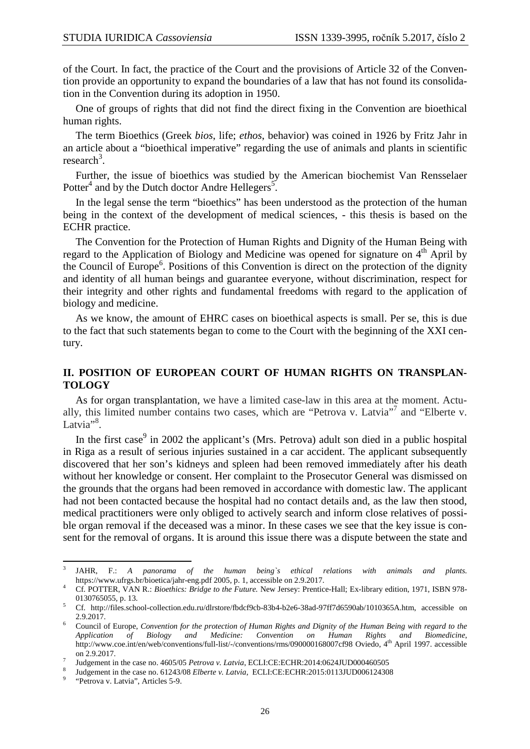of the Court. In fact, the practice of the Court and the provisions of Article 32 of the Convention provide an opportunity to expand the boundaries of a law that has not found its consolidation in the Convention during its adoption in 1950.

One of groups of rights that did not find the direct fixing in the Convention are bioethical human rights.

The term Bioethics (Greek *bios*, life; *ethos*, behavior) was coined in 1926 by Fritz Jahr in an article about a "bioethical imperative" regarding the use of animals and plants in scientific research<sup>3</sup>.

Further, the issue of bioethics was studied by the American biochemist Van Rensselaer Potter<sup>4</sup> and by the Dutch doctor Andre Hellegers<sup>5</sup>.

In the legal sense the term "bioethics" has been understood as the protection of the human being in the context of the development of medical sciences, - this thesis is based on the ECHR practice.

The Convention for the Protection of Human Rights and Dignity of the Human Being with regard to the Application of Biology and Medicine was opened for signature on  $4<sup>th</sup>$  April by the Council of Europe<sup>6</sup>. Positions of this Convention is direct on the protection of the dignity and identity of all human beings and guarantee everyone, without discrimination, respect for their integrity and other rights and fundamental freedoms with regard to the application of biology and medicine.

As we know, the amount of EHRC cases on bioethical aspects is small. Per se, this is due to the fact that such statements began to come to the Court with the beginning of the XXI century.

### **II. POSITION OF EUROPEAN COURT OF HUMAN RIGHTS ON TRANSPLAN-TOLOGY**

As for organ transplantation, we have a limited case-law in this area at the moment. Actually, this limited number contains two cases, which are "Petrova v. Latvia"<sup>7</sup> and "Elberte v. Latvia<sup>"8</sup>.

In the first case<sup>9</sup> in 2002 the applicant's (Mrs. Petrova) adult son died in a public hospital in Riga as a result of serious injuries sustained in a car accident. The applicant subsequently discovered that her son's kidneys and spleen had been removed immediately after his death without her knowledge or consent. Her complaint to the Prosecutor General was dismissed on the grounds that the organs had been removed in accordance with domestic law. The applicant had not been contacted because the hospital had no contact details and, as the law then stood, medical practitioners were only obliged to actively search and inform close relatives of possible organ removal if the deceased was a minor. In these cases we see that the key issue is consent for the removal of organs. It is around this issue there was a dispute between the state and

 $\overline{a}$ 

<sup>3</sup> JAHR, F.: *A panorama of the human being`s ethical relations with animals and plants.* https://www.ufrgs.br/bioetica/jahr-eng.pdf 2005, p. 1, accessible on 2.9.2017.

<sup>4</sup> Cf. POTTER, VAN R.: *Bioethics: Bridge to the Future.* New Jersey: Prentice-Hall; Ex-library edition, 1971, ISBN 978- 0130765055, p. 13.

<sup>5</sup> Cf. http://files.school-collection.edu.ru/dlrstore/fbdcf9cb-83b4-b2e6-38ad-97ff7d6590ab/1010365A.htm, accessible on 2.9.2017.

<sup>6</sup> Council of Europe, *Convention for the protection of Human Rights and Dignity of the Human Being with regard to the Application of Biology and Medicine: Convention on Human Rights and Biomedicine*, http://www.coe.int/en/web/conventions/full-list/-/conventions/rms/090000168007cf98 Oviedo, 4th April 1997. accessible on 2.9.2017.

<sup>7</sup> Judgement in the case no. 4605/05 *Petrova v. Latvia*, ECLI:CE:ECHR:2014:0624JUD000460505

<sup>8</sup> Judgement in the case no. 61243/08 *Elberte v. Latvia*, ECLI:CE:ECHR:2015:0113JUD006124308

<sup>9</sup> "Petrova v. Latvia", Articles 5-9.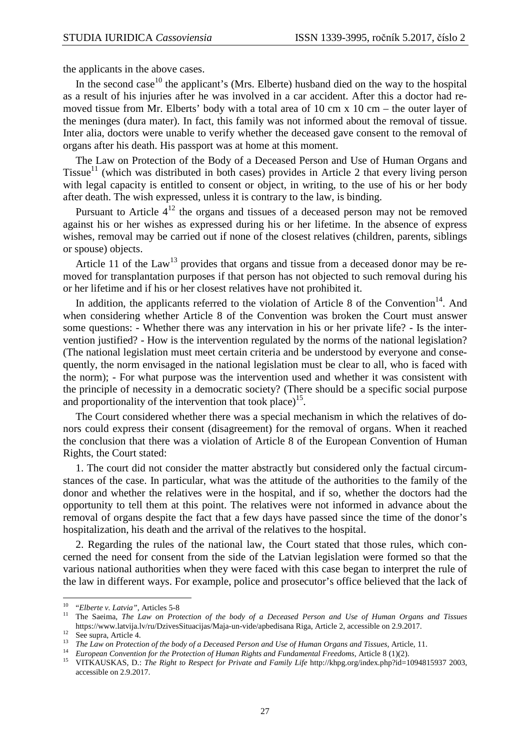the applicants in the above cases.

In the second case<sup>10</sup> the applicant's (Mrs. Elberte) husband died on the way to the hospital as a result of his injuries after he was involved in a car accident. After this a doctor had removed tissue from Mr. Elberts' body with a total area of 10 cm x 10 cm – the outer layer of the meninges (dura mater). In fact, this family was not informed about the removal of tissue. Inter alia, doctors were unable to verify whether the deceased gave consent to the removal of organs after his death. His passport was at home at this moment.

The Law on Protection of the Body of a Deceased Person and Use of Human Organs and Tissue<sup>11</sup> (which was distributed in both cases) provides in Article 2 that every living person with legal capacity is entitled to consent or object, in writing, to the use of his or her body after death. The wish expressed, unless it is contrary to the law, is binding.

Pursuant to Article  $4^{12}$  the organs and tissues of a deceased person may not be removed against his or her wishes as expressed during his or her lifetime. In the absence of express wishes, removal may be carried out if none of the closest relatives (children, parents, siblings or spouse) objects.

Article 11 of the Law<sup>13</sup> provides that organs and tissue from a deceased donor may be removed for transplantation purposes if that person has not objected to such removal during his or her lifetime and if his or her closest relatives have not prohibited it.

In addition, the applicants referred to the violation of Article 8 of the Convention<sup>14</sup>. And when considering whether Article 8 of the Convention was broken the Court must answer some questions: - Whether there was any intervation in his or her private life? - Is the intervention justified? - How is the intervention regulated by the norms of the national legislation? (The national legislation must meet certain criteria and be understood by everyone and consequently, the norm envisaged in the national legislation must be clear to all, who is faced with the norm); - For what purpose was the intervention used and whether it was consistent with the principle of necessity in a democratic society? (There should be a specific social purpose and proportionality of the intervention that took place)<sup>15</sup>.

The Court considered whether there was a special mechanism in which the relatives of donors could express their consent (disagreement) for the removal of organs. When it reached the conclusion that there was a violation of Article 8 of the European Convention of Human Rights, the Court stated:

1. The court did not consider the matter abstractly but considered only the factual circumstances of the case. In particular, what was the attitude of the authorities to the family of the donor and whether the relatives were in the hospital, and if so, whether the doctors had the opportunity to tell them at this point. The relatives were not informed in advance about the removal of organs despite the fact that a few days have passed since the time of the donor's hospitalization, his death and the arrival of the relatives to the hospital.

2. Regarding the rules of the national law, the Court stated that those rules, which concerned the need for consent from the side of the Latvian legislation were formed so that the various national authorities when they were faced with this case began to interpret the rule of the law in different ways. For example, police and prosecutor's office believed that the lack of

 $\overline{a}$ 

<sup>10</sup> "*Elberte v. Latvia"*, Articles 5-8

<sup>&</sup>lt;sup>11</sup> The Saeima, *The Law on Protection of the body of a Deceased Person and Use of Human Organs and Tissues* https://www.latvija.lv/ru/DzivesSituacijas/Maja-un-vide/apbedisana Riga, Article 2, accessible on 2.9.2017.

 $12$  See supra, Article 4.

<sup>&</sup>lt;sup>13</sup> The Law on Protection of the body of a Deceased Person and Use of Human Organs and Tissues, Article, 11.

<sup>&</sup>lt;sup>14</sup> European Convention for the Protection of Human Rights and Fundamental Freedoms, Article 8 (1)(2).

<sup>&</sup>lt;sup>15</sup> VITKAUSKAS, D.: *The Right to Respect for Private and Family Life* http://khpg.org/index.php?id=1094815937 2003, accessible on 2.9.2017.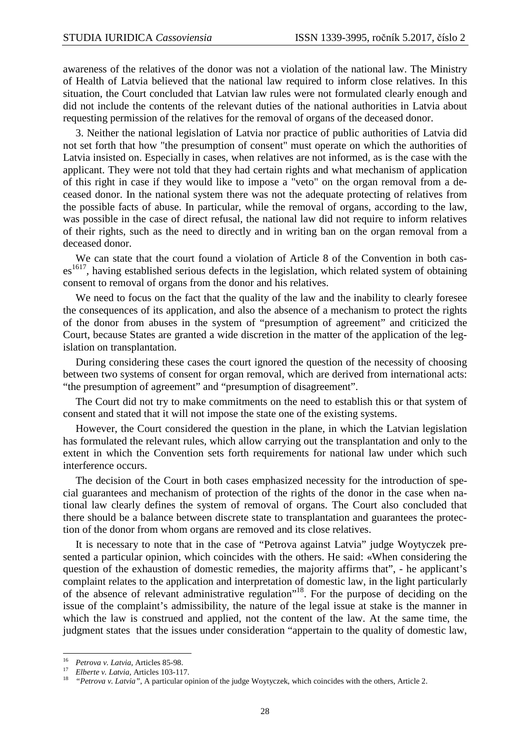awareness of the relatives of the donor was not a violation of the national law. The Ministry of Health of Latvia believed that the national law required to inform close relatives. In this situation, the Court concluded that Latvian law rules were not formulated clearly enough and did not include the contents of the relevant duties of the national authorities in Latvia about requesting permission of the relatives for the removal of organs of the deceased donor.

3. Neither the national legislation of Latvia nor practice of public authorities of Latvia did not set forth that how "the presumption of consent" must operate on which the authorities of Latvia insisted on. Especially in cases, when relatives are not informed, as is the case with the applicant. They were not told that they had certain rights and what mechanism of application of this right in case if they would like to impose a "veto" on the organ removal from a deceased donor. In the national system there was not the adequate protecting of relatives from the possible facts of abuse. In particular, while the removal of organs, according to the law, was possible in the case of direct refusal, the national law did not require to inform relatives of their rights, such as the need to directly and in writing ban on the organ removal from a deceased donor.

We can state that the court found a violation of Article 8 of the Convention in both cas $es<sup>1617</sup>$ , having established serious defects in the legislation, which related system of obtaining consent to removal of organs from the donor and his relatives.

We need to focus on the fact that the quality of the law and the inability to clearly foresee the consequences of its application, and also the absence of a mechanism to protect the rights of the donor from abuses in the system of "presumption of agreement" and criticized the Court, because States are granted a wide discretion in the matter of the application of the legislation on transplantation.

During considering these cases the court ignored the question of the necessity of choosing between two systems of consent for organ removal, which are derived from international acts: "the presumption of agreement" and "presumption of disagreement".

The Court did not try to make commitments on the need to establish this or that system of consent and stated that it will not impose the state one of the existing systems.

However, the Court considered the question in the plane, in which the Latvian legislation has formulated the relevant rules, which allow carrying out the transplantation and only to the extent in which the Convention sets forth requirements for national law under which such interference occurs.

The decision of the Court in both cases emphasized necessity for the introduction of special guarantees and mechanism of protection of the rights of the donor in the case when national law clearly defines the system of removal of organs. The Court also concluded that there should be a balance between discrete state to transplantation and guarantees the protection of the donor from whom organs are removed and its close relatives.

It is necessary to note that in the case of "Petrova against Latvia" judge Woytyczek presented a particular opinion, which coincides with the others. He said: «When considering the question of the exhaustion of domestic remedies, the majority affirms that", - he applicant's complaint relates to the application and interpretation of domestic law, in the light particularly of the absence of relevant administrative regulation"<sup>18</sup>. For the purpose of deciding on the issue of the complaint's admissibility, the nature of the legal issue at stake is the manner in which the law is construed and applied, not the content of the law. At the same time, the judgment states that the issues under consideration "appertain to the quality of domestic law,

 $\overline{a}$ 

<sup>&</sup>lt;sup>16</sup> *Petrova v. Latvia*, Articles 85-98.<br><sup>17</sup> *Elberta v. Latvia*, Articles 103, 11

*Elberte v. Latvia,* Articles 103-117.

<sup>&</sup>lt;sup>18</sup> *"Petrova v. Latvia"*, A particular opinion of the judge Woytyczek, which coincides with the others, Article 2.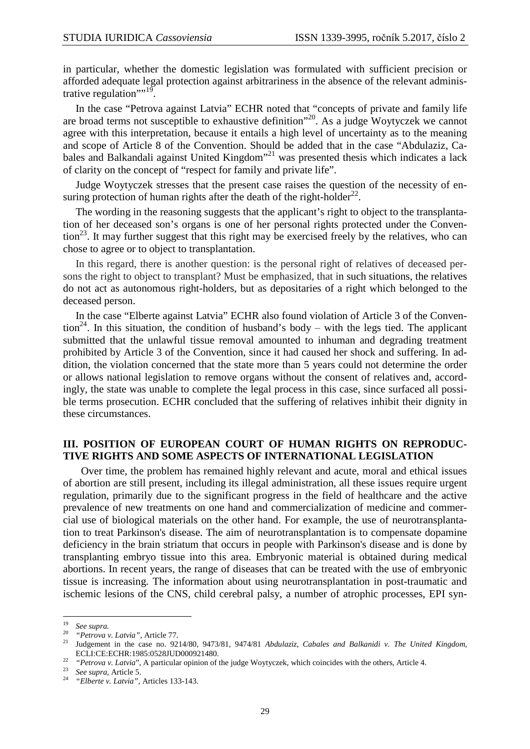in particular, whether the domestic legislation was formulated with sufficient precision or afforded adequate legal protection against arbitrariness in the absence of the relevant administrative regulation" $19$ .

In the case "Petrova against Latvia" ECHR noted that "concepts of private and family life are broad terms not susceptible to exhaustive definition<sup> $20$ </sup>. As a judge Woytyczek we cannot agree with this interpretation, because it entails a high level of uncertainty as to the meaning and scope of Article 8 of the Convention. Should be added that in the case "Abdulaziz, Cabales and Balkandali against United Kingdom"<sup>21</sup> was presented thesis which indicates a lack of clarity on the concept of "respect for family and private life".

Judge Woytyczek stresses that the present case raises the question of the necessity of ensuring protection of human rights after the death of the right-holder $^{22}$ .

The wording in the reasoning suggests that the applicant's right to object to the transplantation of her deceased son's organs is one of her personal rights protected under the Conven- $\frac{1}{2}$ . It may further suggest that this right may be exercised freely by the relatives, who can chose to agree or to object to transplantation.

In this regard, there is another question: is the personal right of relatives of deceased persons the right to object to transplant? Must be emphasized, that in such situations, the relatives do not act as autonomous right-holders, but as depositaries of a right which belonged to the deceased person.

In the case "Elberte against Latvia" ECHR also found violation of Article 3 of the Convention<sup>24</sup>. In this situation, the condition of husband's body – with the legs tied. The applicant submitted that the unlawful tissue removal amounted to inhuman and degrading treatment prohibited by Article 3 of the Convention, since it had caused her shock and suffering. In addition, the violation concerned that the state more than 5 years could not determine the order or allows national legislation to remove organs without the consent of relatives and, accordingly, the state was unable to complete the legal process in this case, since surfaced all possible terms prosecution. ECHR concluded that the suffering of relatives inhibit their dignity in these circumstances.

#### **III. POSITION OF EUROPEAN COURT OF HUMAN RIGHTS ON REPRODUC-TIVE RIGHTS AND SOME ASPECTS OF INTERNATIONAL LEGISLATION**

 Over time, the problem has remained highly relevant and acute, moral and ethical issues of abortion are still present, including its illegal administration, all these issues require urgent regulation, primarily due to the significant progress in the field of healthcare and the active prevalence of new treatments on one hand and commercialization of medicine and commercial use of biological materials on the other hand. For example, the use of neurotransplantation to treat Parkinson's disease. The aim of neurotransplantation is to compensate dopamine deficiency in the brain striatum that occurs in people with Parkinson's disease and is done by transplanting embryo tissue into this area. Embryonic material is obtained during medical abortions. In recent years, the range of diseases that can be treated with the use of embryonic tissue is increasing. The information about using neurotransplantation in post-traumatic and ischemic lesions of the CNS, child cerebral palsy, a number of atrophic processes, EPI syn-

l

<sup>19</sup>  $\frac{19}{20}$  *See supra.* 

<sup>20</sup> *"Petrova v. Latvia",* Article 77.

<sup>21</sup> Judgement in the case no. 9214/80, 9473/81, 9474/81 *Abdulaziz, Cabales and Balkanidi v. The United Kingdom*, ECLI:CE:ECHR:1985:0528JUD000921480.

<sup>&</sup>lt;sup>22</sup> *"Petrova v. Latvia"*, A particular opinion of the judge Woytyczek, which coincides with the others, Article 4.

<sup>23</sup> *See supra*, Article 5.

<sup>24</sup> *"Elberte v. Latvia",* Articles 133-143.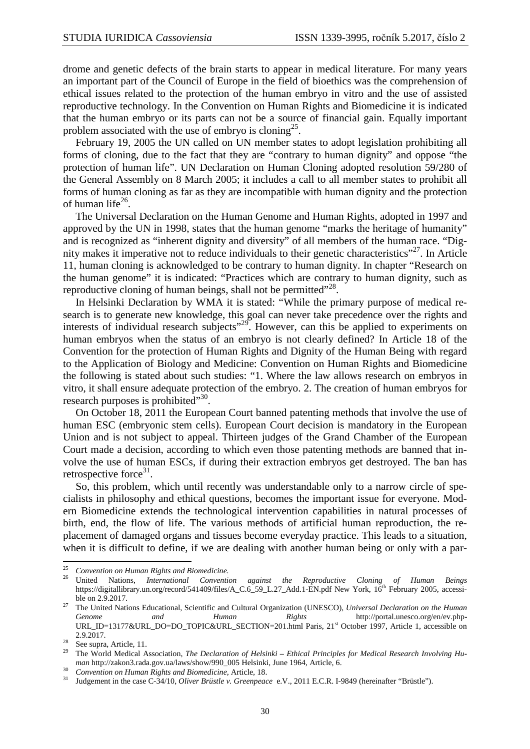drome and genetic defects of the brain starts to appear in medical literature. For many years an important part of the Council of Europe in the field of bioethics was the comprehension of ethical issues related to the protection of the human embryo in vitro and the use of assisted reproductive technology. In the Convention on Human Rights and Biomedicine it is indicated that the human embryo or its parts can not be a source of financial gain. Equally important problem associated with the use of embryo is cloning<sup>25</sup>.

February 19, 2005 the UN called on UN member states to adopt legislation prohibiting all forms of cloning, due to the fact that they are "contrary to human dignity" and oppose "the protection of human life". UN Declaration on Human Cloning adopted resolution 59/280 of the General Assembly on 8 March 2005; it includes a call to all member states to prohibit all forms of human cloning as far as they are incompatible with human dignity and the protection of human life $^{26}$ .

The Universal Declaration on the Human Genome and Human Rights, adopted in 1997 and approved by the UN in 1998, states that the human genome "marks the heritage of humanity" and is recognized as "inherent dignity and diversity" of all members of the human race. "Dignity makes it imperative not to reduce individuals to their genetic characteristics"<sup>27</sup>. In Article 11, human cloning is acknowledged to be contrary to human dignity. In chapter "Research on the human genome" it is indicated: "Practices which are contrary to human dignity, such as reproductive cloning of human beings, shall not be permitted"<sup>28</sup>.

In Helsinki Declaration by WMA it is stated: "While the primary purpose of medical research is to generate new knowledge, this goal can never take precedence over the rights and interests of individual research subjects"<sup>29</sup>. However, can this be applied to experiments on human embryos when the status of an embryo is not clearly defined? In Article 18 of the Convention for the protection of Human Rights and Dignity of the Human Being with regard to the Application of Biology and Medicine: Convention on Human Rights and Biomedicine the following is stated about such studies: "1. Where the law allows research on embryos in vitro, it shall ensure adequate protection of the embryo. 2. The creation of human embryos for research purposes is prohibited"<sup>30</sup>.

On October 18, 2011 the European Court banned patenting methods that involve the use of human ESC (embryonic stem cells). European Court decision is mandatory in the European Union and is not subject to appeal. Thirteen judges of the Grand Chamber of the European Court made a decision, according to which even those patenting methods are banned that involve the use of human ESCs, if during their extraction embryos get destroyed. The ban has retrospective force<sup>31</sup>.

So, this problem, which until recently was understandable only to a narrow circle of specialists in philosophy and ethical questions, becomes the important issue for everyone. Modern Biomedicine extends the technological intervention capabilities in natural processes of birth, end, the flow of life. The various methods of artificial human reproduction, the replacement of damaged organs and tissues become everyday practice. This leads to a situation, when it is difficult to define, if we are dealing with another human being or only with a par-  $\overline{a}$ 

 $25$ *Convention on Human Rights and Biomedicine.*

<sup>26</sup> United Nations, *International Convention against the Reproductive Cloning of Human Beings* https://digitallibrary.un.org/record/541409/files/A\_C.6\_59\_L.27\_Add.1-EN.pdf New York, 16<sup>th</sup> February 2005, accessible on 2.9.2017.

<sup>27</sup> The United Nations Educational, Scientific and Cultural Organization (UNESCO), *Universal Declaration on the Human Genome and Human Rights* http://portal.unesco.org/en/ev.php-URL\_ID=13177&URL\_DO=DO\_TOPIC&URL\_SECTION=201.html Paris, 21<sup>st</sup> October 1997, Article 1, accessible on 2.9.2017.

<sup>&</sup>lt;sup>28</sup> See supra, Article, 11.

<sup>29</sup> The World Medical Association, *The Declaration of Helsinki – Ethical Principles for Medical Research Involving Human* http://zakon3.rada.gov.ua/laws/show/990\_005 Helsinki, June 1964, Article, 6.

<sup>30</sup> <sup>30</sup> Convention on Human Rights and Biomedicine, Article, 18.<br><sup>31</sup> Independent in the same C 24/10, Oliven Britisher, Greenwood

<sup>31</sup> Judgement in the case C-34/10, *Oliver Brüstle v. Greenpeace* e.V., 2011 E.C.R. I-9849 (hereinafter "Brüstle").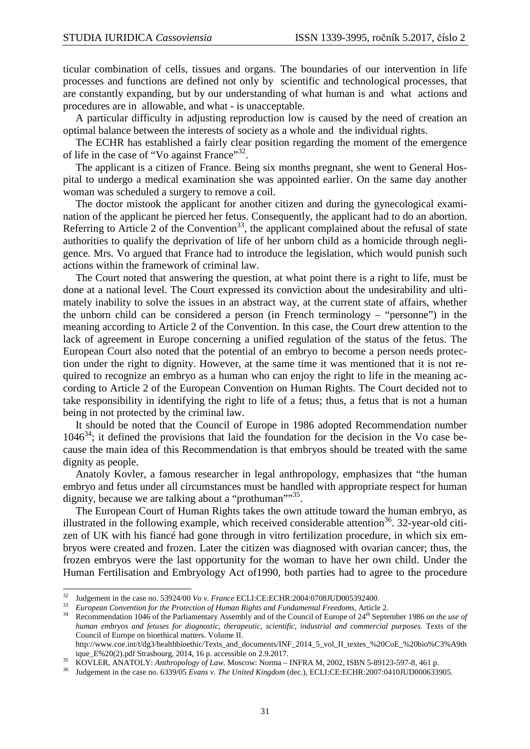ticular combination of cells, tissues and organs. The boundaries of our intervention in life processes and functions are defined not only by scientific and technological processes, that are constantly expanding, but by our understanding of what human is and what actions and procedures are in allowable, and what - is unacceptable.

A particular difficulty in adjusting reproduction low is caused by the need of creation an optimal balance between the interests of society as a whole and the individual rights.

The ECHR has established a fairly clear position regarding the moment of the emergence of life in the case of "Vo against France"<sup>32</sup>.

The applicant is a citizen of France. Being six months pregnant, she went to General Hospital to undergo a medical examination she was appointed earlier. On the same day another woman was scheduled a surgery to remove a coil.

The doctor mistook the applicant for another citizen and during the gynecological examination of the applicant he pierced her fetus. Consequently, the applicant had to do an abortion. Referring to Article 2 of the Convention<sup>33</sup>, the applicant complained about the refusal of state authorities to qualify the deprivation of life of her unborn child as a homicide through negligence. Mrs. Vo argued that France had to introduce the legislation, which would punish such actions within the framework of criminal law.

The Court noted that answering the question, at what point there is a right to life, must be done at a national level. The Court expressed its conviction about the undesirability and ultimately inability to solve the issues in an abstract way, at the current state of affairs, whether the unborn child can be considered a person (in French terminology – "personne") in the meaning according to Article 2 of the Convention. In this case, the Court drew attention to the lack of agreement in Europe concerning a unified regulation of the status of the fetus. The European Court also noted that the potential of an embryo to become a person needs protection under the right to dignity. However, at the same time it was mentioned that it is not required to recognize an embryo as a human who can enjoy the right to life in the meaning according to Article 2 of the European Convention on Human Rights. The Court decided not to take responsibility in identifying the right to life of a fetus; thus, a fetus that is not a human being in not protected by the criminal law.

It should be noted that the Council of Europe in 1986 adopted Recommendation number  $1046^{34}$ ; it defined the provisions that laid the foundation for the decision in the Vo case because the main idea of this Recommendation is that embryos should be treated with the same dignity as people.

Anatoly Kovler, a famous researcher in legal anthropology, emphasizes that "the human embryo and fetus under all circumstances must be handled with appropriate respect for human dignity, because we are talking about a "prothuman""<sup>35</sup>.

The European Court of Human Rights takes the own attitude toward the human embryo, as illustrated in the following example, which received considerable attention<sup>36</sup>. 32-year-old citizen of UK with his fiancé had gone through in vitro fertilization procedure, in which six embryos were created and frozen. Later the citizen was diagnosed with ovarian cancer; thus, the frozen embryos were the last opportunity for the woman to have her own child. Under the Human Fertilisation and Embryology Act of1990, both parties had to agree to the procedure

l

<sup>32</sup> Judgement in the case no. 53924/00 *Vo v. France* ECLI:CE:ECHR:2004:0708JUD005392400.

<sup>33</sup> *European Convention for the Protection of Human Rights and Fundamental Freedoms,* Article 2.

<sup>34</sup> Recommendation 1046 of the Parliamentary Assembly and of the Council of Europe of 24th September 1986 *on the use of human embryos and fetuses for diagnostic, therapeutic, scientific, industrial and commercial purposes.* Texts of the Council of Europe on bioethical matters. Volume II.

http://www.coe.int/t/dg3/healthbioethic/Texts\_and\_documents/INF\_2014\_5\_vol\_II\_textes\_%20CoE\_%20bio%C3%A9th ique\_E%20(2).pdf Strasbourg, 2014, 16 p. accessible on 2.9.2017.

<sup>35</sup> KOVLER, ANATOLY: *Anthropology of Law.* Moscow: Norma – INFRA M, 2002, ISBN 5-89123-597-8, 461 p.

<sup>36</sup> Judgement in the case no. 6339/05 *Evans v. The United Kingdom* (dec.), ECLI:CE:ECHR:2007:0410JUD000633905.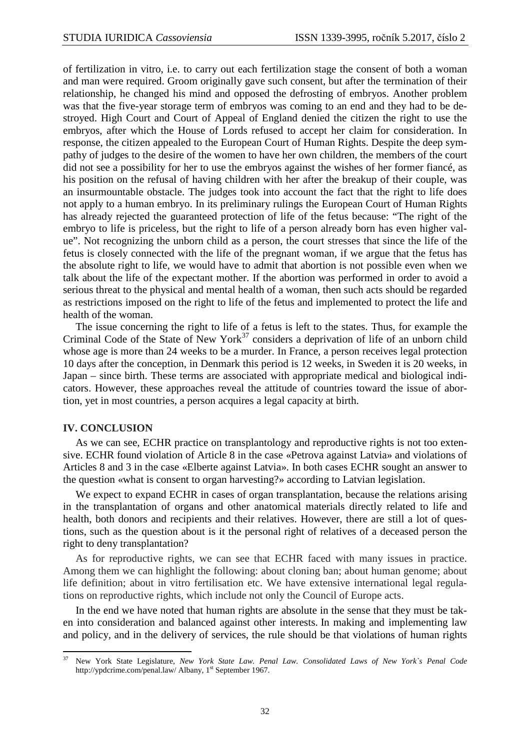of fertilization in vitro, i.e. to carry out each fertilization stage the consent of both a woman and man were required. Groom originally gave such consent, but after the termination of their relationship, he changed his mind and opposed the defrosting of embryos. Another problem was that the five-year storage term of embryos was coming to an end and they had to be destroyed. High Court and Court of Appeal of England denied the citizen the right to use the embryos, after which the House of Lords refused to accept her claim for consideration. In response, the citizen appealed to the European Court of Human Rights. Despite the deep sympathy of judges to the desire of the women to have her own children, the members of the court did not see a possibility for her to use the embryos against the wishes of her former fiancé, as his position on the refusal of having children with her after the breakup of their couple, was an insurmountable obstacle. The judges took into account the fact that the right to life does not apply to a human embryo. In its preliminary rulings the European Court of Human Rights has already rejected the guaranteed protection of life of the fetus because: "The right of the embryo to life is priceless, but the right to life of a person already born has even higher value". Not recognizing the unborn child as a person, the court stresses that since the life of the fetus is closely connected with the life of the pregnant woman, if we argue that the fetus has the absolute right to life, we would have to admit that abortion is not possible even when we talk about the life of the expectant mother. If the abortion was performed in order to avoid a serious threat to the physical and mental health of a woman, then such acts should be regarded as restrictions imposed on the right to life of the fetus and implemented to protect the life and health of the woman.

The issue concerning the right to life of a fetus is left to the states. Thus, for example the Criminal Code of the State of New York<sup>37</sup> considers a deprivation of life of an unborn child whose age is more than 24 weeks to be a murder. In France, a person receives legal protection 10 days after the conception, in Denmark this period is 12 weeks, in Sweden it is 20 weeks, in Japan – since birth. These terms are associated with appropriate medical and biological indicators. However, these approaches reveal the attitude of countries toward the issue of abortion, yet in most countries, a person acquires a legal capacity at birth.

#### **IV. CONCLUSION**

 $\overline{a}$ 

As we can see, ECHR practice on transplantology and reproductive rights is not too extensive. ECHR found violation of Article 8 in the case «Petrova against Latvia» and violations of Articles 8 and 3 in the case «Elberte against Latvia». In both cases ECHR sought an answer to the question «what is consent to organ harvesting?» according to Latvian legislation.

We expect to expand ECHR in cases of organ transplantation, because the relations arising in the transplantation of organs and other anatomical materials directly related to life and health, both donors and recipients and their relatives. However, there are still a lot of questions, such as the question about is it the personal right of relatives of a deceased person the right to deny transplantation?

As for reproductive rights, we can see that ECHR faced with many issues in practice. Among them we can highlight the following: about cloning ban; about human genome; about life definition; about in vitro fertilisation etc. We have extensive international legal regulations on reproductive rights, which include not only the Council of Europe acts.

In the end we have noted that human rights are absolute in the sense that they must be taken into consideration and balanced against other interests. In making and implementing law and policy, and in the delivery of services, the rule should be that violations of human rights

<sup>37</sup> New York State Legislature, *New York State Law. Penal Law. Consolidated Laws of New York`s Penal Code* http://ypdcrime.com/penal.law/ Albany, 1<sup>st</sup> September 1967.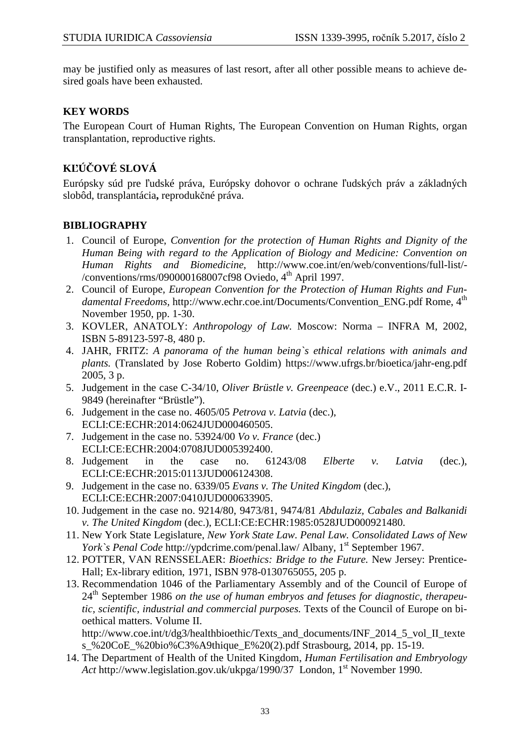may be justified only as measures of last resort, after all other possible means to achieve desired goals have been exhausted.

# **KEY WORDS**

The European Court of Human Rights, The European Convention on Human Rights, organ transplantation, reproductive rights.

# **KĽÚČOVÉ SLOVÁ**

Európsky súd pre ľudské práva, Európsky dohovor o ochrane ľudských práv a základných slobôd, transplantácia**,** reprodukčné práva.

# **BIBLIOGRAPHY**

- 1. Council of Europe, *Convention for the protection of Human Rights and Dignity of the Human Being with regard to the Application of Biology and Medicine: Convention on Human Rights and Biomedicine*, http://www.coe.int/en/web/conventions/full-list/- /conventions/rms/090000168007cf98 Oviedo, 4th April 1997.
- 2. Council of Europe, *European Convention for the Protection of Human Rights and Fundamental Freedoms, http://www.echr.coe.int/Documents/Convention ENG.pdf Rome, 4th* November 1950, pp. 1-30.
- 3. KOVLER, ANATOLY: *Anthropology of Law.* Moscow: Norma INFRA M, 2002, ISBN 5-89123-597-8, 480 p.
- 4. JAHR, FRITZ: *A panorama of the human being`s ethical relations with animals and plants.* (Translated by Jose Roberto Goldim) https://www.ufrgs.br/bioetica/jahr-eng.pdf 2005, 3 p.
- 5. Judgement in the case C-34/10, *Oliver Brüstle v. Greenpeace* (dec.) e.V., 2011 E.C.R. I-9849 (hereinafter "Brüstle").
- 6. Judgement in the case no. 4605/05 *Petrova v. Latvia* (dec.), ECLI:CE:ECHR:2014:0624JUD000460505.
- 7. Judgement in the case no. 53924/00 *Vo v. France* (dec.) ECLI:CE:ECHR:2004:0708JUD005392400.
- 8. Judgement in the case no. 61243/08 *Elberte v. Latvia* (dec.), ECLI:CE:ECHR:2015:0113JUD006124308.
- 9. Judgement in the case no. 6339/05 *Evans v. The United Kingdom* (dec.), ECLI:CE:ECHR:2007:0410JUD000633905.
- 10. Judgement in the case no. 9214/80, 9473/81, 9474/81 *Abdulaziz, Cabales and Balkanidi v. The United Kingdom* (dec.), ECLI:CE:ECHR:1985:0528JUD000921480.
- 11. New York State Legislature, *New York State Law. Penal Law. Consolidated Laws of New York`s Penal Code* http://ypdcrime.com/penal.law/ Albany, 1<sup>st</sup> September 1967.
- 12. POTTER, VAN RENSSELAER: *Bioethics: Bridge to the Future.* New Jersey: Prentice-Hall; Ex-library edition, 1971, ISBN 978-0130765055, 205 p.
- 13. Recommendation 1046 of the Parliamentary Assembly and of the Council of Europe of 24<sup>th</sup> September 1986 *on the use of human embryos and fetuses for diagnostic, therapeutic, scientific, industrial and commercial purposes.* Texts of the Council of Europe on bioethical matters. Volume II.

http://www.coe.int/t/dg3/healthbioethic/Texts\_and\_documents/INF\_2014\_5\_vol\_II\_texte s\_%20CoE\_%20bio%C3%A9thique\_E%20(2).pdf Strasbourg, 2014, pp. 15-19.

14. The Department of Health of the United Kingdom, *Human Fertilisation and Embryology Act* http://www.legislation.gov.uk/ukpga/1990/37 London, 1<sup>st</sup> November 1990.